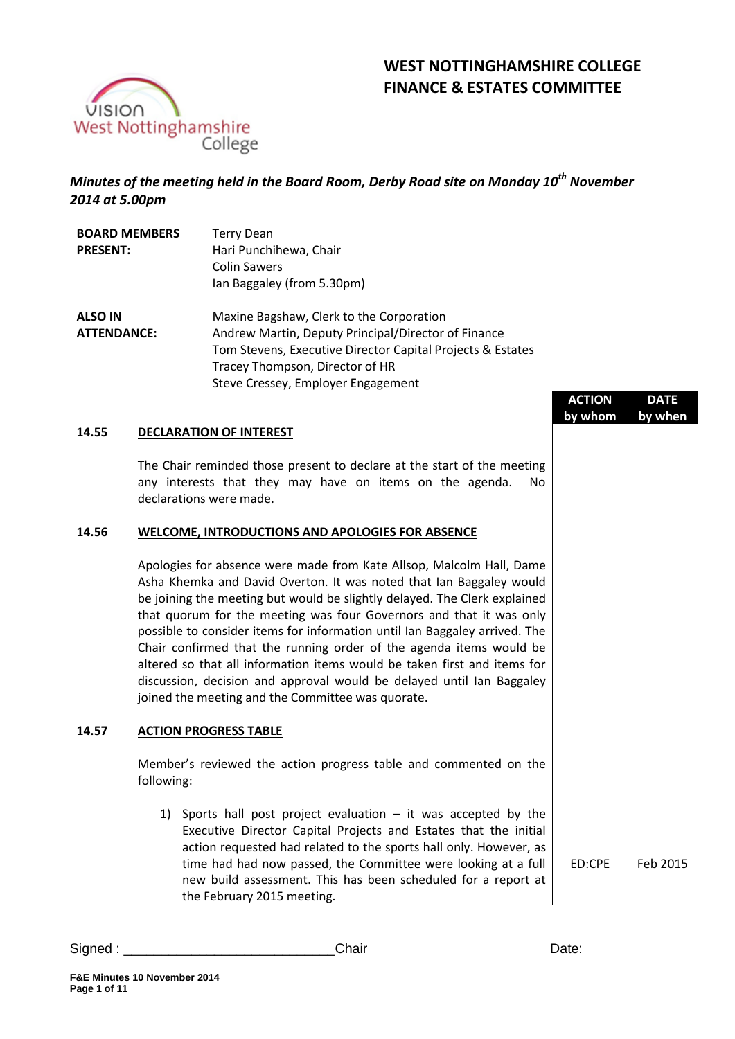



# *Minutes of the meeting held in the Board Room, Derby Road site on Monday 10 th November 2014 at 5.00pm*

| <b>BOARD MEMBERS</b> | <b>Terry Dean</b>                                          |
|----------------------|------------------------------------------------------------|
| <b>PRESENT:</b>      | Hari Punchihewa, Chair                                     |
|                      | <b>Colin Sawers</b>                                        |
|                      | Ian Baggaley (from 5.30pm)                                 |
| <b>ALSO IN</b>       | Maxine Bagshaw, Clerk to the Corporation                   |
| <b>ATTENDANCE:</b>   | Andrew Martin, Deputy Principal/Director of Finance        |
|                      | Tom Stevens, Executive Director Capital Projects & Estates |
|                      | Tracey Thompson, Director of HR                            |
|                      | Steve Cressey, Employer Engagement                         |

|       |                                                                                                                                                                                                                                                                                                                                                                                                                                                                                                                                                                                                                                                                | <b>ACTION</b> | <b>DATE</b> |
|-------|----------------------------------------------------------------------------------------------------------------------------------------------------------------------------------------------------------------------------------------------------------------------------------------------------------------------------------------------------------------------------------------------------------------------------------------------------------------------------------------------------------------------------------------------------------------------------------------------------------------------------------------------------------------|---------------|-------------|
|       |                                                                                                                                                                                                                                                                                                                                                                                                                                                                                                                                                                                                                                                                | by whom       | by when     |
| 14.55 | <b>DECLARATION OF INTEREST</b>                                                                                                                                                                                                                                                                                                                                                                                                                                                                                                                                                                                                                                 |               |             |
|       | The Chair reminded those present to declare at the start of the meeting<br>any interests that they may have on items on the agenda.<br>No.<br>declarations were made.                                                                                                                                                                                                                                                                                                                                                                                                                                                                                          |               |             |
| 14.56 | WELCOME, INTRODUCTIONS AND APOLOGIES FOR ABSENCE                                                                                                                                                                                                                                                                                                                                                                                                                                                                                                                                                                                                               |               |             |
|       | Apologies for absence were made from Kate Allsop, Malcolm Hall, Dame<br>Asha Khemka and David Overton. It was noted that Ian Baggaley would<br>be joining the meeting but would be slightly delayed. The Clerk explained<br>that quorum for the meeting was four Governors and that it was only<br>possible to consider items for information until Ian Baggaley arrived. The<br>Chair confirmed that the running order of the agenda items would be<br>altered so that all information items would be taken first and items for<br>discussion, decision and approval would be delayed until Ian Baggaley<br>joined the meeting and the Committee was quorate. |               |             |
| 14.57 | <b>ACTION PROGRESS TABLE</b>                                                                                                                                                                                                                                                                                                                                                                                                                                                                                                                                                                                                                                   |               |             |
|       | Member's reviewed the action progress table and commented on the<br>following:                                                                                                                                                                                                                                                                                                                                                                                                                                                                                                                                                                                 |               |             |
|       | 1) Sports hall post project evaluation $-$ it was accepted by the<br>Executive Director Capital Projects and Estates that the initial<br>action requested had related to the sports hall only. However, as<br>time had had now passed, the Committee were looking at a full<br>new build assessment. This has been scheduled for a report at<br>the February 2015 meeting.                                                                                                                                                                                                                                                                                     | ED:CPE        | Feb 2015    |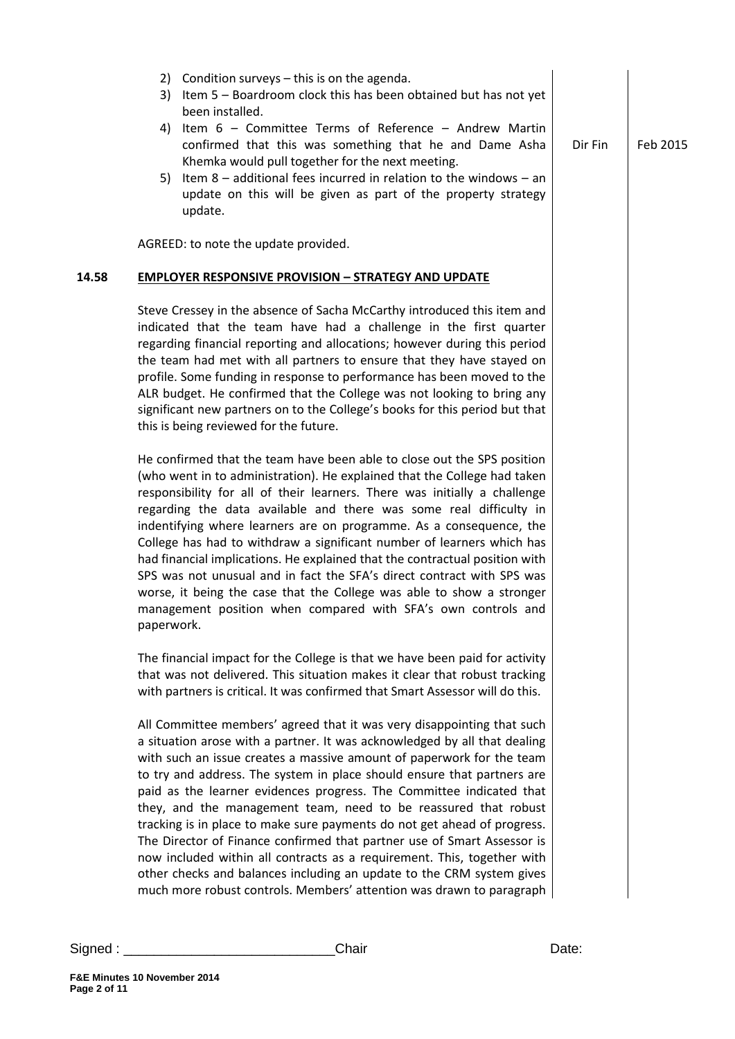|       | Condition surveys - this is on the agenda.<br>2)<br>Item 5 - Boardroom clock this has been obtained but has not yet<br>3)<br>been installed.<br>Item 6 - Committee Terms of Reference - Andrew Martin<br>4)<br>confirmed that this was something that he and Dame Asha<br>Khemka would pull together for the next meeting.<br>Item $8$ – additional fees incurred in relation to the windows – an<br>5)<br>update on this will be given as part of the property strategy<br>update.                                                                                                                                                                                                                                                                                                                                                   | Dir Fin | Feb 2015 |
|-------|---------------------------------------------------------------------------------------------------------------------------------------------------------------------------------------------------------------------------------------------------------------------------------------------------------------------------------------------------------------------------------------------------------------------------------------------------------------------------------------------------------------------------------------------------------------------------------------------------------------------------------------------------------------------------------------------------------------------------------------------------------------------------------------------------------------------------------------|---------|----------|
|       | AGREED: to note the update provided.                                                                                                                                                                                                                                                                                                                                                                                                                                                                                                                                                                                                                                                                                                                                                                                                  |         |          |
| 14.58 | <b>EMPLOYER RESPONSIVE PROVISION - STRATEGY AND UPDATE</b>                                                                                                                                                                                                                                                                                                                                                                                                                                                                                                                                                                                                                                                                                                                                                                            |         |          |
|       | Steve Cressey in the absence of Sacha McCarthy introduced this item and<br>indicated that the team have had a challenge in the first quarter<br>regarding financial reporting and allocations; however during this period<br>the team had met with all partners to ensure that they have stayed on<br>profile. Some funding in response to performance has been moved to the<br>ALR budget. He confirmed that the College was not looking to bring any<br>significant new partners on to the College's books for this period but that<br>this is being reviewed for the future.                                                                                                                                                                                                                                                       |         |          |
|       | He confirmed that the team have been able to close out the SPS position<br>(who went in to administration). He explained that the College had taken<br>responsibility for all of their learners. There was initially a challenge<br>regarding the data available and there was some real difficulty in<br>indentifying where learners are on programme. As a consequence, the<br>College has had to withdraw a significant number of learners which has<br>had financial implications. He explained that the contractual position with<br>SPS was not unusual and in fact the SFA's direct contract with SPS was<br>worse, it being the case that the College was able to show a stronger<br>management position when compared with SFA's own controls and<br>paperwork.                                                              |         |          |
|       | The financial impact for the College is that we have been paid for activity<br>that was not delivered. This situation makes it clear that robust tracking<br>with partners is critical. It was confirmed that Smart Assessor will do this.                                                                                                                                                                                                                                                                                                                                                                                                                                                                                                                                                                                            |         |          |
|       | All Committee members' agreed that it was very disappointing that such<br>a situation arose with a partner. It was acknowledged by all that dealing<br>with such an issue creates a massive amount of paperwork for the team<br>to try and address. The system in place should ensure that partners are<br>paid as the learner evidences progress. The Committee indicated that<br>they, and the management team, need to be reassured that robust<br>tracking is in place to make sure payments do not get ahead of progress.<br>The Director of Finance confirmed that partner use of Smart Assessor is<br>now included within all contracts as a requirement. This, together with<br>other checks and balances including an update to the CRM system gives<br>much more robust controls. Members' attention was drawn to paragraph |         |          |
|       |                                                                                                                                                                                                                                                                                                                                                                                                                                                                                                                                                                                                                                                                                                                                                                                                                                       |         |          |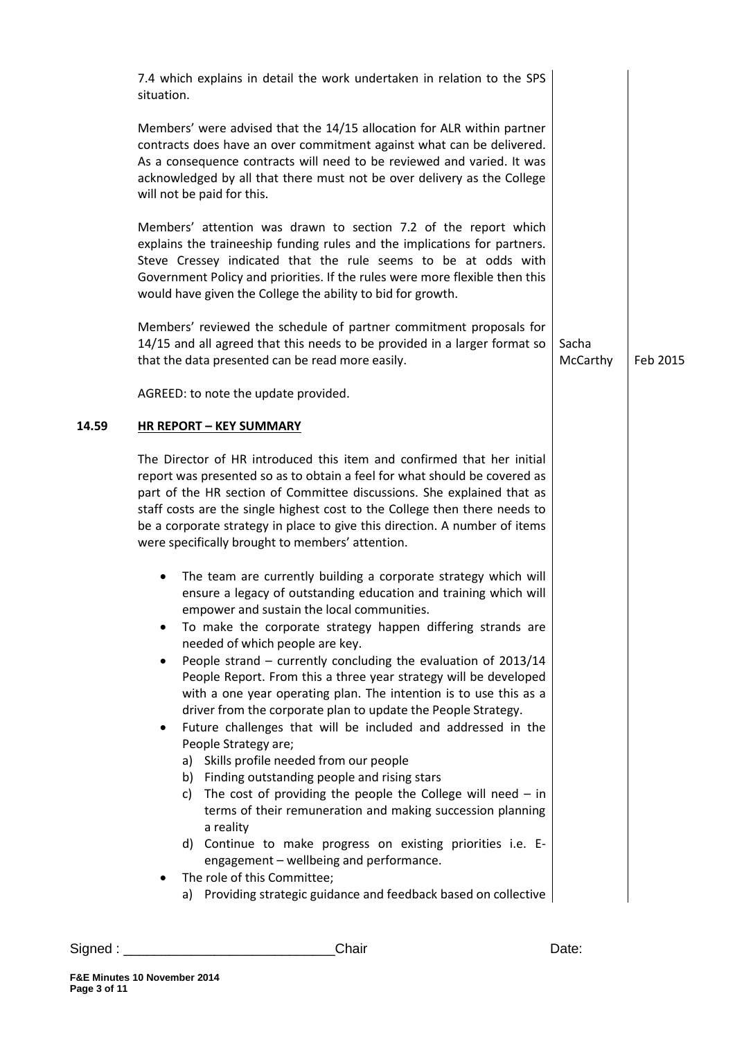|       | 7.4 which explains in detail the work undertaken in relation to the SPS<br>situation.                                                                                                                                                                                                                                                                                                                                                                                                                                                                                                                                                                                                                                                                                                                                                                                                                                                                                                                                                                                                                                                                 |                   |          |
|-------|-------------------------------------------------------------------------------------------------------------------------------------------------------------------------------------------------------------------------------------------------------------------------------------------------------------------------------------------------------------------------------------------------------------------------------------------------------------------------------------------------------------------------------------------------------------------------------------------------------------------------------------------------------------------------------------------------------------------------------------------------------------------------------------------------------------------------------------------------------------------------------------------------------------------------------------------------------------------------------------------------------------------------------------------------------------------------------------------------------------------------------------------------------|-------------------|----------|
|       | Members' were advised that the 14/15 allocation for ALR within partner<br>contracts does have an over commitment against what can be delivered.<br>As a consequence contracts will need to be reviewed and varied. It was<br>acknowledged by all that there must not be over delivery as the College<br>will not be paid for this.                                                                                                                                                                                                                                                                                                                                                                                                                                                                                                                                                                                                                                                                                                                                                                                                                    |                   |          |
|       | Members' attention was drawn to section 7.2 of the report which<br>explains the traineeship funding rules and the implications for partners.<br>Steve Cressey indicated that the rule seems to be at odds with<br>Government Policy and priorities. If the rules were more flexible then this<br>would have given the College the ability to bid for growth.                                                                                                                                                                                                                                                                                                                                                                                                                                                                                                                                                                                                                                                                                                                                                                                          |                   |          |
|       | Members' reviewed the schedule of partner commitment proposals for<br>14/15 and all agreed that this needs to be provided in a larger format so<br>that the data presented can be read more easily.                                                                                                                                                                                                                                                                                                                                                                                                                                                                                                                                                                                                                                                                                                                                                                                                                                                                                                                                                   | Sacha<br>McCarthy | Feb 2015 |
|       | AGREED: to note the update provided.                                                                                                                                                                                                                                                                                                                                                                                                                                                                                                                                                                                                                                                                                                                                                                                                                                                                                                                                                                                                                                                                                                                  |                   |          |
| 14.59 | <b>HR REPORT - KEY SUMMARY</b>                                                                                                                                                                                                                                                                                                                                                                                                                                                                                                                                                                                                                                                                                                                                                                                                                                                                                                                                                                                                                                                                                                                        |                   |          |
|       | The Director of HR introduced this item and confirmed that her initial<br>report was presented so as to obtain a feel for what should be covered as<br>part of the HR section of Committee discussions. She explained that as<br>staff costs are the single highest cost to the College then there needs to<br>be a corporate strategy in place to give this direction. A number of items<br>were specifically brought to members' attention.                                                                                                                                                                                                                                                                                                                                                                                                                                                                                                                                                                                                                                                                                                         |                   |          |
|       | The team are currently building a corporate strategy which will<br>$\bullet$<br>ensure a legacy of outstanding education and training which will<br>empower and sustain the local communities.<br>To make the corporate strategy happen differing strands are<br>needed of which people are key.<br>People strand - currently concluding the evaluation of 2013/14<br>$\bullet$<br>People Report. From this a three year strategy will be developed<br>with a one year operating plan. The intention is to use this as a<br>driver from the corporate plan to update the People Strategy.<br>Future challenges that will be included and addressed in the<br>٠<br>People Strategy are;<br>a) Skills profile needed from our people<br>b) Finding outstanding people and rising stars<br>c) The cost of providing the people the College will need $-$ in<br>terms of their remuneration and making succession planning<br>a reality<br>d) Continue to make progress on existing priorities i.e. E-<br>engagement - wellbeing and performance.<br>The role of this Committee;<br>٠<br>a) Providing strategic guidance and feedback based on collective |                   |          |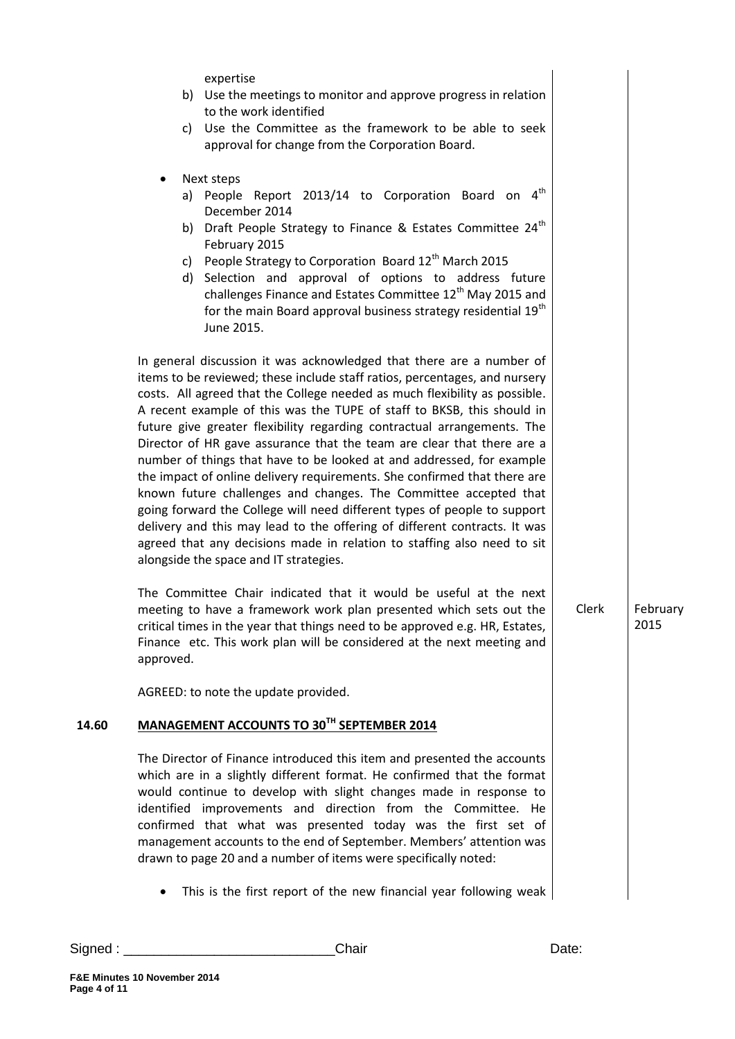|       | expertise<br>b) Use the meetings to monitor and approve progress in relation<br>to the work identified<br>c) Use the Committee as the framework to be able to seek<br>approval for change from the Corporation Board.                                                                                                                                                                                                                                                                                                                                                                                                                                                                                                                                                                                                                                                                          |       |                  |
|-------|------------------------------------------------------------------------------------------------------------------------------------------------------------------------------------------------------------------------------------------------------------------------------------------------------------------------------------------------------------------------------------------------------------------------------------------------------------------------------------------------------------------------------------------------------------------------------------------------------------------------------------------------------------------------------------------------------------------------------------------------------------------------------------------------------------------------------------------------------------------------------------------------|-------|------------------|
|       | Next steps<br>٠<br>a) People Report 2013/14 to Corporation Board on $4th$<br>December 2014<br>b) Draft People Strategy to Finance & Estates Committee 24 <sup>th</sup><br>February 2015<br>c) People Strategy to Corporation Board $12th$ March 2015<br>d) Selection and approval of options to address future<br>challenges Finance and Estates Committee 12 <sup>th</sup> May 2015 and<br>for the main Board approval business strategy residential 19 <sup>th</sup><br>June 2015.<br>In general discussion it was acknowledged that there are a number of                                                                                                                                                                                                                                                                                                                                   |       |                  |
|       | items to be reviewed; these include staff ratios, percentages, and nursery<br>costs. All agreed that the College needed as much flexibility as possible.<br>A recent example of this was the TUPE of staff to BKSB, this should in<br>future give greater flexibility regarding contractual arrangements. The<br>Director of HR gave assurance that the team are clear that there are a<br>number of things that have to be looked at and addressed, for example<br>the impact of online delivery requirements. She confirmed that there are<br>known future challenges and changes. The Committee accepted that<br>going forward the College will need different types of people to support<br>delivery and this may lead to the offering of different contracts. It was<br>agreed that any decisions made in relation to staffing also need to sit<br>alongside the space and IT strategies. |       |                  |
|       | The Committee Chair indicated that it would be useful at the next<br>meeting to have a framework work plan presented which sets out the<br>critical times in the year that things need to be approved e.g. HR, Estates,<br>Finance etc. This work plan will be considered at the next meeting and<br>approved.                                                                                                                                                                                                                                                                                                                                                                                                                                                                                                                                                                                 | Clerk | February<br>2015 |
|       | AGREED: to note the update provided.                                                                                                                                                                                                                                                                                                                                                                                                                                                                                                                                                                                                                                                                                                                                                                                                                                                           |       |                  |
| 14.60 | MANAGEMENT ACCOUNTS TO 30TH SEPTEMBER 2014                                                                                                                                                                                                                                                                                                                                                                                                                                                                                                                                                                                                                                                                                                                                                                                                                                                     |       |                  |
|       | The Director of Finance introduced this item and presented the accounts<br>which are in a slightly different format. He confirmed that the format<br>would continue to develop with slight changes made in response to<br>identified improvements and direction from the Committee. He<br>confirmed that what was presented today was the first set of<br>management accounts to the end of September. Members' attention was<br>drawn to page 20 and a number of items were specifically noted:                                                                                                                                                                                                                                                                                                                                                                                               |       |                  |
|       | This is the first report of the new financial year following weak<br>$\bullet$                                                                                                                                                                                                                                                                                                                                                                                                                                                                                                                                                                                                                                                                                                                                                                                                                 |       |                  |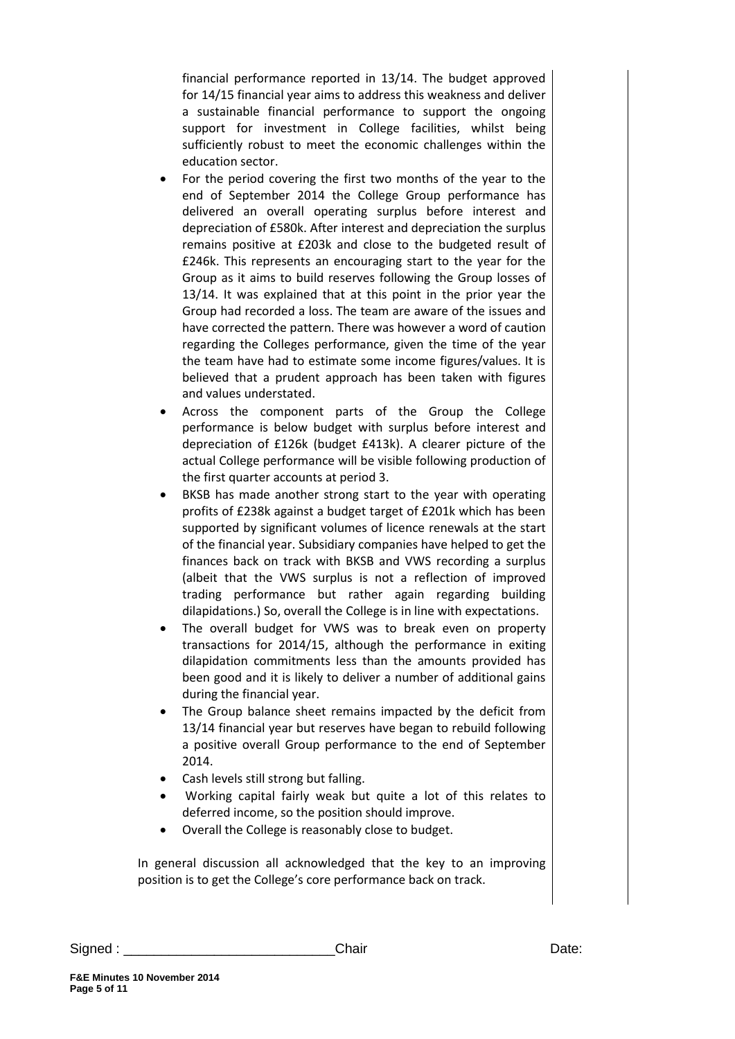financial performance reported in 13/14. The budget approved for 14/15 financial year aims to address this weakness and deliver a sustainable financial performance to support the ongoing support for investment in College facilities, whilst being sufficiently robust to meet the economic challenges within the education sector.

- For the period covering the first two months of the year to the end of September 2014 the College Group performance has delivered an overall operating surplus before interest and depreciation of £580k. After interest and depreciation the surplus remains positive at £203k and close to the budgeted result of £246k. This represents an encouraging start to the year for the Group as it aims to build reserves following the Group losses of 13/14. It was explained that at this point in the prior year the Group had recorded a loss. The team are aware of the issues and have corrected the pattern. There was however a word of caution regarding the Colleges performance, given the time of the year the team have had to estimate some income figures/values. It is believed that a prudent approach has been taken with figures and values understated.
- Across the component parts of the Group the College performance is below budget with surplus before interest and depreciation of £126k (budget £413k). A clearer picture of the actual College performance will be visible following production of the first quarter accounts at period 3.
- BKSB has made another strong start to the year with operating profits of £238k against a budget target of £201k which has been supported by significant volumes of licence renewals at the start of the financial year. Subsidiary companies have helped to get the finances back on track with BKSB and VWS recording a surplus (albeit that the VWS surplus is not a reflection of improved trading performance but rather again regarding building dilapidations.) So, overall the College is in line with expectations.
- The overall budget for VWS was to break even on property transactions for 2014/15, although the performance in exiting dilapidation commitments less than the amounts provided has been good and it is likely to deliver a number of additional gains during the financial year.
- The Group balance sheet remains impacted by the deficit from 13/14 financial year but reserves have began to rebuild following a positive overall Group performance to the end of September 2014.
- Cash levels still strong but falling.
- Working capital fairly weak but quite a lot of this relates to deferred income, so the position should improve.
- Overall the College is reasonably close to budget.

In general discussion all acknowledged that the key to an improving position is to get the College's core performance back on track.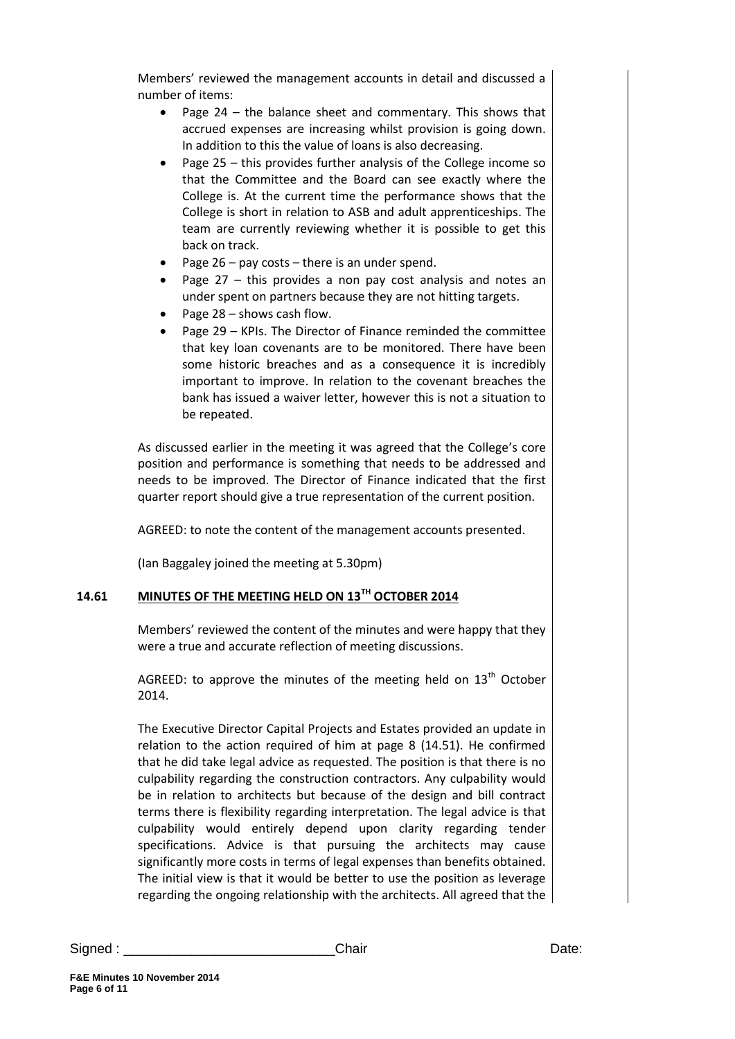Members' reviewed the management accounts in detail and discussed a number of items:

- Page  $24$  the balance sheet and commentary. This shows that accrued expenses are increasing whilst provision is going down. In addition to this the value of loans is also decreasing.
- Page 25 this provides further analysis of the College income so that the Committee and the Board can see exactly where the College is. At the current time the performance shows that the College is short in relation to ASB and adult apprenticeships. The team are currently reviewing whether it is possible to get this back on track.
- Page 26 pay costs there is an under spend.
- Page  $27 -$  this provides a non pay cost analysis and notes an under spent on partners because they are not hitting targets.
- Page 28 shows cash flow.
- Page 29 KPIs. The Director of Finance reminded the committee that key loan covenants are to be monitored. There have been some historic breaches and as a consequence it is incredibly important to improve. In relation to the covenant breaches the bank has issued a waiver letter, however this is not a situation to be repeated.

As discussed earlier in the meeting it was agreed that the College's core position and performance is something that needs to be addressed and needs to be improved. The Director of Finance indicated that the first quarter report should give a true representation of the current position.

AGREED: to note the content of the management accounts presented.

(Ian Baggaley joined the meeting at 5.30pm)

# **14.61 MINUTES OF THE MEETING HELD ON 13TH OCTOBER 2014**

Members' reviewed the content of the minutes and were happy that they were a true and accurate reflection of meeting discussions.

AGREED: to approve the minutes of the meeting held on  $13<sup>th</sup>$  October 2014.

The Executive Director Capital Projects and Estates provided an update in relation to the action required of him at page 8 (14.51). He confirmed that he did take legal advice as requested. The position is that there is no culpability regarding the construction contractors. Any culpability would be in relation to architects but because of the design and bill contract terms there is flexibility regarding interpretation. The legal advice is that culpability would entirely depend upon clarity regarding tender specifications. Advice is that pursuing the architects may cause significantly more costs in terms of legal expenses than benefits obtained. The initial view is that it would be better to use the position as leverage regarding the ongoing relationship with the architects. All agreed that the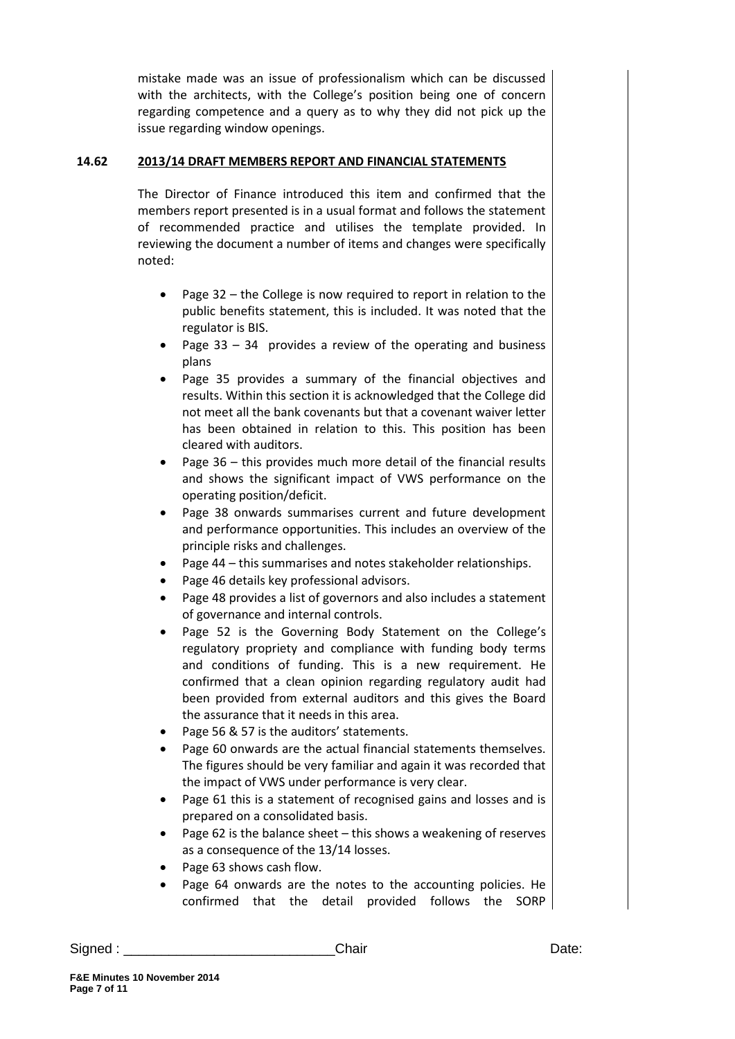mistake made was an issue of professionalism which can be discussed with the architects, with the College's position being one of concern regarding competence and a query as to why they did not pick up the issue regarding window openings.

# **14.62 2013/14 DRAFT MEMBERS REPORT AND FINANCIAL STATEMENTS**

The Director of Finance introduced this item and confirmed that the members report presented is in a usual format and follows the statement of recommended practice and utilises the template provided. In reviewing the document a number of items and changes were specifically noted:

- Page 32 the College is now required to report in relation to the public benefits statement, this is included. It was noted that the regulator is BIS.
- Page 33 34 provides a review of the operating and business plans
- Page 35 provides a summary of the financial objectives and results. Within this section it is acknowledged that the College did not meet all the bank covenants but that a covenant waiver letter has been obtained in relation to this. This position has been cleared with auditors.
- Page 36 this provides much more detail of the financial results and shows the significant impact of VWS performance on the operating position/deficit.
- Page 38 onwards summarises current and future development and performance opportunities. This includes an overview of the principle risks and challenges.
- Page 44 this summarises and notes stakeholder relationships.
- Page 46 details key professional advisors.
- Page 48 provides a list of governors and also includes a statement of governance and internal controls.
- Page 52 is the Governing Body Statement on the College's regulatory propriety and compliance with funding body terms and conditions of funding. This is a new requirement. He confirmed that a clean opinion regarding regulatory audit had been provided from external auditors and this gives the Board the assurance that it needs in this area.
- Page 56 & 57 is the auditors' statements.
- Page 60 onwards are the actual financial statements themselves. The figures should be very familiar and again it was recorded that the impact of VWS under performance is very clear.
- Page 61 this is a statement of recognised gains and losses and is prepared on a consolidated basis.
- Page 62 is the balance sheet  $-$  this shows a weakening of reserves as a consequence of the 13/14 losses.
- Page 63 shows cash flow.
- Page 64 onwards are the notes to the accounting policies. He confirmed that the detail provided follows the SORP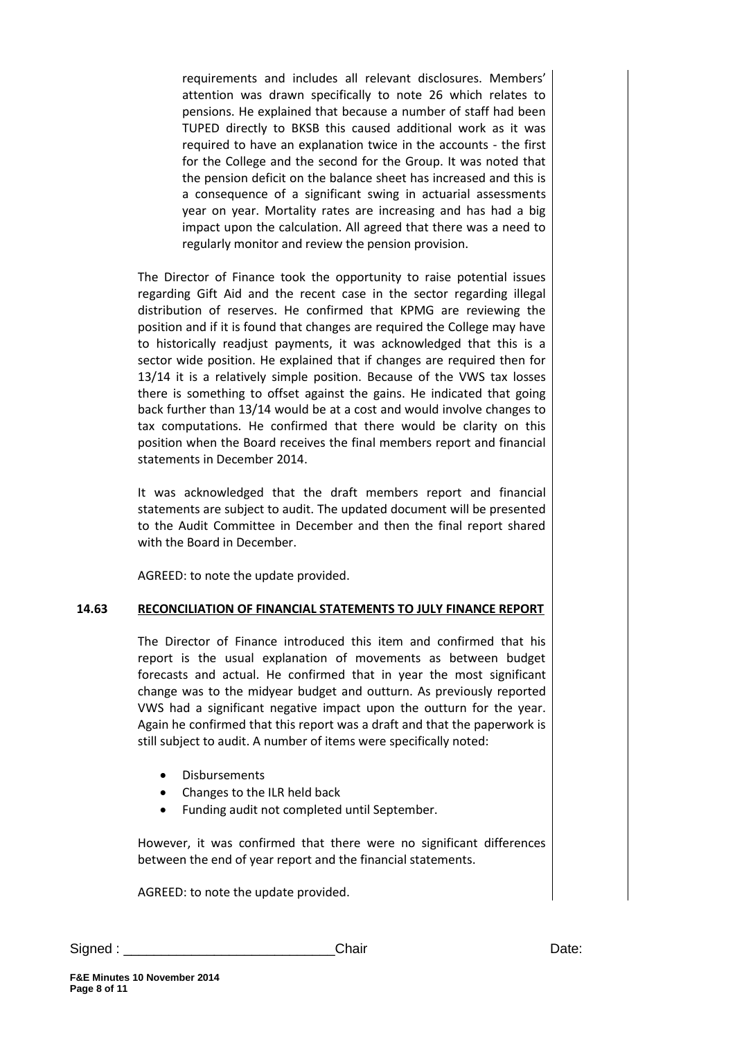requirements and includes all relevant disclosures. Members' attention was drawn specifically to note 26 which relates to pensions. He explained that because a number of staff had been TUPED directly to BKSB this caused additional work as it was required to have an explanation twice in the accounts - the first for the College and the second for the Group. It was noted that the pension deficit on the balance sheet has increased and this is a consequence of a significant swing in actuarial assessments year on year. Mortality rates are increasing and has had a big impact upon the calculation. All agreed that there was a need to regularly monitor and review the pension provision.

The Director of Finance took the opportunity to raise potential issues regarding Gift Aid and the recent case in the sector regarding illegal distribution of reserves. He confirmed that KPMG are reviewing the position and if it is found that changes are required the College may have to historically readjust payments, it was acknowledged that this is a sector wide position. He explained that if changes are required then for 13/14 it is a relatively simple position. Because of the VWS tax losses there is something to offset against the gains. He indicated that going back further than 13/14 would be at a cost and would involve changes to tax computations. He confirmed that there would be clarity on this position when the Board receives the final members report and financial statements in December 2014.

It was acknowledged that the draft members report and financial statements are subject to audit. The updated document will be presented to the Audit Committee in December and then the final report shared with the Board in December.

AGREED: to note the update provided.

### **14.63 RECONCILIATION OF FINANCIAL STATEMENTS TO JULY FINANCE REPORT**

The Director of Finance introduced this item and confirmed that his report is the usual explanation of movements as between budget forecasts and actual. He confirmed that in year the most significant change was to the midyear budget and outturn. As previously reported VWS had a significant negative impact upon the outturn for the year. Again he confirmed that this report was a draft and that the paperwork is still subject to audit. A number of items were specifically noted:

- Disbursements
- Changes to the ILR held back
- Funding audit not completed until September.

However, it was confirmed that there were no significant differences between the end of year report and the financial statements.

AGREED: to note the update provided.

Signed : \_\_\_\_\_\_\_\_\_\_\_\_\_\_\_\_\_\_\_\_\_\_\_\_\_\_\_\_Chair Date: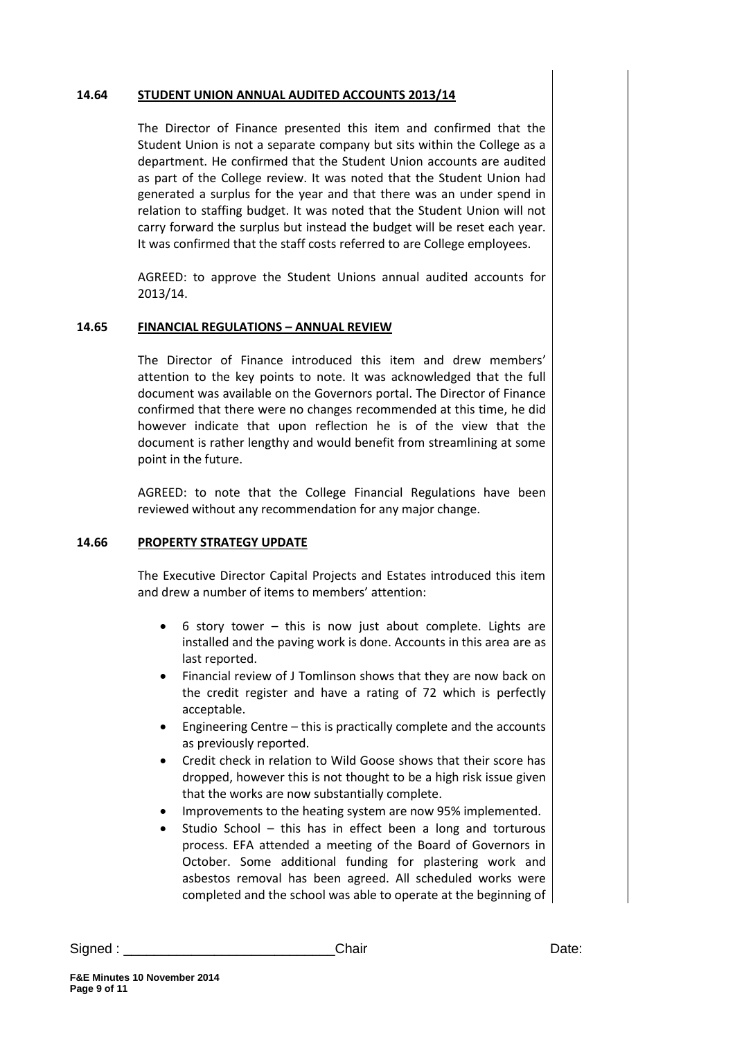#### **14.64 STUDENT UNION ANNUAL AUDITED ACCOUNTS 2013/14**

The Director of Finance presented this item and confirmed that the Student Union is not a separate company but sits within the College as a department. He confirmed that the Student Union accounts are audited as part of the College review. It was noted that the Student Union had generated a surplus for the year and that there was an under spend in relation to staffing budget. It was noted that the Student Union will not carry forward the surplus but instead the budget will be reset each year. It was confirmed that the staff costs referred to are College employees.

AGREED: to approve the Student Unions annual audited accounts for 2013/14.

#### **14.65 FINANCIAL REGULATIONS – ANNUAL REVIEW**

The Director of Finance introduced this item and drew members' attention to the key points to note. It was acknowledged that the full document was available on the Governors portal. The Director of Finance confirmed that there were no changes recommended at this time, he did however indicate that upon reflection he is of the view that the document is rather lengthy and would benefit from streamlining at some point in the future.

AGREED: to note that the College Financial Regulations have been reviewed without any recommendation for any major change.

#### **14.66 PROPERTY STRATEGY UPDATE**

The Executive Director Capital Projects and Estates introduced this item and drew a number of items to members' attention:

- 6 story tower this is now just about complete. Lights are installed and the paving work is done. Accounts in this area are as last reported.
- Financial review of J Tomlinson shows that they are now back on the credit register and have a rating of 72 which is perfectly acceptable.
- Engineering Centre this is practically complete and the accounts as previously reported.
- Credit check in relation to Wild Goose shows that their score has dropped, however this is not thought to be a high risk issue given that the works are now substantially complete.
- Improvements to the heating system are now 95% implemented.
- Studio School this has in effect been a long and torturous process. EFA attended a meeting of the Board of Governors in October. Some additional funding for plastering work and asbestos removal has been agreed. All scheduled works were completed and the school was able to operate at the beginning of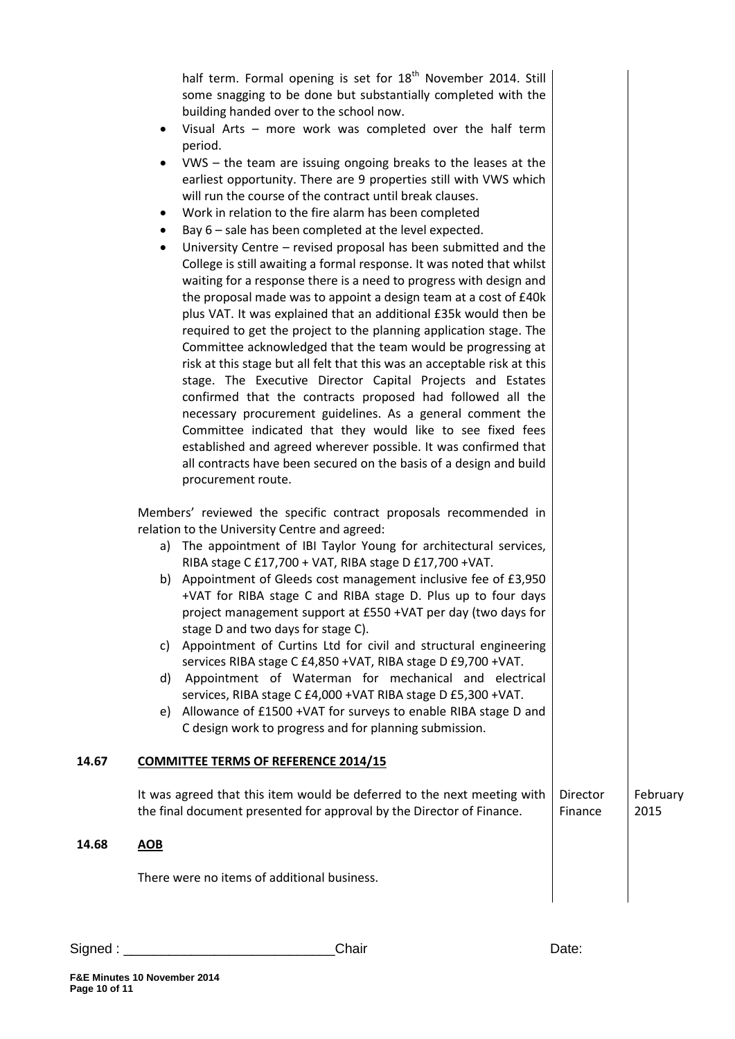half term. Formal opening is set for  $18<sup>th</sup>$  November 2014. Still some snagging to be done but substantially completed with the building handed over to the school now.

- Visual Arts more work was completed over the half term period.
- VWS the team are issuing ongoing breaks to the leases at the earliest opportunity. There are 9 properties still with VWS which will run the course of the contract until break clauses.
- Work in relation to the fire alarm has been completed
- Bay 6 sale has been completed at the level expected.
- University Centre revised proposal has been submitted and the College is still awaiting a formal response. It was noted that whilst waiting for a response there is a need to progress with design and the proposal made was to appoint a design team at a cost of £40k plus VAT. It was explained that an additional £35k would then be required to get the project to the planning application stage. The Committee acknowledged that the team would be progressing at risk at this stage but all felt that this was an acceptable risk at this stage. The Executive Director Capital Projects and Estates confirmed that the contracts proposed had followed all the necessary procurement guidelines. As a general comment the Committee indicated that they would like to see fixed fees established and agreed wherever possible. It was confirmed that all contracts have been secured on the basis of a design and build procurement route.

Members' reviewed the specific contract proposals recommended in relation to the University Centre and agreed:

- a) The appointment of IBI Taylor Young for architectural services, RIBA stage C £17,700 + VAT, RIBA stage D £17,700 +VAT.
- b) Appointment of Gleeds cost management inclusive fee of £3,950 +VAT for RIBA stage C and RIBA stage D. Plus up to four days project management support at £550 +VAT per day (two days for stage D and two days for stage C).
- c) Appointment of Curtins Ltd for civil and structural engineering services RIBA stage C £4,850 +VAT, RIBA stage D £9,700 +VAT.
- d) Appointment of Waterman for mechanical and electrical services, RIBA stage C £4,000 +VAT RIBA stage D £5,300 +VAT.
- e) Allowance of £1500 +VAT for surveys to enable RIBA stage D and C design work to progress and for planning submission.

### **14.67 COMMITTEE TERMS OF REFERENCE 2014/15**

It was agreed that this item would be deferred to the next meeting with the final document presented for approval by the Director of Finance. Director Finance February 2015

## **14.68 AOB**

There were no items of additional business.